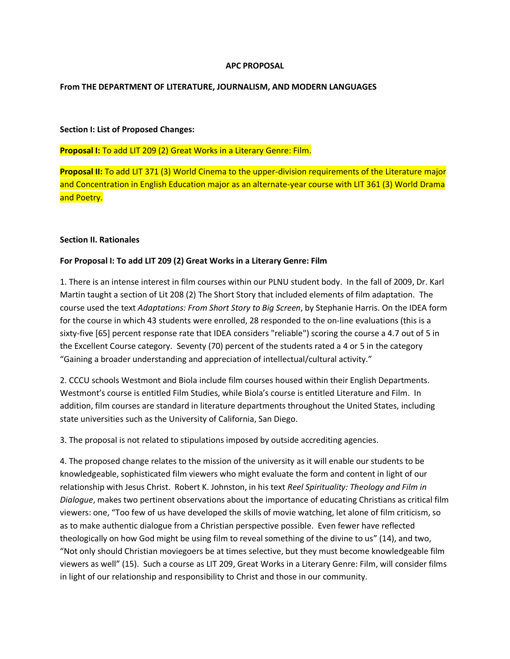## **APC PROPOSAL**

#### **From THE DEPARTMENT OF LITERATURE, JOURNALISM, AND MODERN LANGUAGES**

#### **Section I: List of Proposed Changes:**

## **Proposal I:** To add LIT 209 (2) Great Works in a Literary Genre: Film.

**Proposal II:** To add LIT 371 (3) World Cinema to the upper-division requirements of the Literature major and Concentration in English Education major as an alternate-year course with LIT 361 (3) World Drama and Poetry.

## **Section II. Rationales**

## **For Proposal I: To add LIT 209 (2) Great Works in a Literary Genre: Film**

1. There is an intense interest in film courses within our PLNU student body. In the fall of 2009, Dr. Karl Martin taught a section of Lit 208 (2) The Short Story that included elements of film adaptation. The course used the text *Adaptations: From Short Story to Big Screen*, by Stephanie Harris. On the IDEA form for the course in which 43 students were enrolled, 28 responded to the on-line evaluations (this is a sixty-five [65] percent response rate that IDEA considers "reliable") scoring the course a 4.7 out of 5 in the Excellent Course category. Seventy (70) percent of the students rated a 4 or 5 in the category "Gaining a broader understanding and appreciation of intellectual/cultural activity."

2. CCCU schools Westmont and Biola include film courses housed within their English Departments. Westmont's course is entitled Film Studies, while Biola's course is entitled Literature and Film. In addition, film courses are standard in literature departments throughout the United States, including state universities such as the University of California, San Diego.

3. The proposal is not related to stipulations imposed by outside accrediting agencies.

4. The proposed change relates to the mission of the university as it will enable our students to be knowledgeable, sophisticated film viewers who might evaluate the form and content in light of our relationship with Jesus Christ. Robert K. Johnston, in his text *Reel Spirituality: Theology and Film in Dialogue*, makes two pertinent observations about the importance of educating Christians as critical film viewers: one, "Too few of us have developed the skills of movie watching, let alone of film criticism, so as to make authentic dialogue from a Christian perspective possible. Even fewer have reflected theologically on how God might be using film to reveal something of the divine to us" (14), and two, "Not only should Christian moviegoers be at times selective, but they must become knowledgeable film viewers as well" (15). Such a course as LIT 209, Great Works in a Literary Genre: Film, will consider films in light of our relationship and responsibility to Christ and those in our community.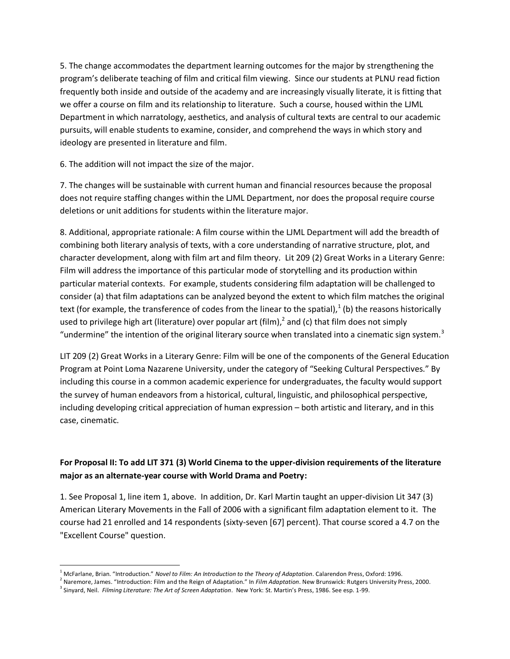5. The change accommodates the department learning outcomes for the major by strengthening the program's deliberate teaching of film and critical film viewing. Since our students at PLNU read fiction frequently both inside and outside of the academy and are increasingly visually literate, it is fitting that we offer a course on film and its relationship to literature. Such a course, housed within the LJML Department in which narratology, aesthetics, and analysis of cultural texts are central to our academic pursuits, will enable students to examine, consider, and comprehend the ways in which story and ideology are presented in literature and film.

6. The addition will not impact the size of the major.

7. The changes will be sustainable with current human and financial resources because the proposal does not require staffing changes within the LJML Department, nor does the proposal require course deletions or unit additions for students within the literature major.

8. Additional, appropriate rationale: A film course within the LJML Department will add the breadth of combining both literary analysis of texts, with a core understanding of narrative structure, plot, and character development, along with film art and film theory. Lit 209 (2) Great Works in a Literary Genre: Film will address the importance of this particular mode of storytelling and its production within particular material contexts. For example, students considering film adaptation will be challenged to consider (a) that film adaptations can be analyzed beyond the extent to which film matches the original text (for example, the transference of codes from the linear to the spatial), $^{1}$  (b) the reasons historically used to privilege high art (literature) over popular art (film),<sup>2</sup> and (c) that film does not simply "undermine" the intention of the original literary source when translated into a cinematic sign system.<sup>3</sup>

LIT 209 (2) Great Works in a Literary Genre: Film will be one of the components of the General Education Program at Point Loma Nazarene University, under the category of "Seeking Cultural Perspectives." By including this course in a common academic experience for undergraduates, the faculty would support the survey of human endeavors from a historical, cultural, linguistic, and philosophical perspective, including developing critical appreciation of human expression – both artistic and literary, and in this case, cinematic.

# **For Proposal II: To add LIT 371 (3) World Cinema to the upper-division requirements of the literature major as an alternate-year course with World Drama and Poetry:**

1. See Proposal 1, line item 1, above. In addition, Dr. Karl Martin taught an upper-division Lit 347 (3) American Literary Movements in the Fall of 2006 with a significant film adaptation element to it. The course had 21 enrolled and 14 respondents (sixty-seven [67] percent). That course scored a 4.7 on the "Excellent Course" question.

 $\overline{a}$ <sup>1</sup> McFarlane, Brian. "Introduction." *Novel to Film: An Introduction to the Theory of Adaptation*. Calarendon Press, Oxford: 1996.

<sup>2</sup> Naremore, James. "Introduction: Film and the Reign of Adaptation." In *Film Adaptation*. New Brunswick: Rutgers University Press, 2000.

<sup>3</sup> Sinyard, Neil. *Filming Literature: The Art of Screen Adaptation*. New York: St. Martin's Press, 1986. See esp. 1-99.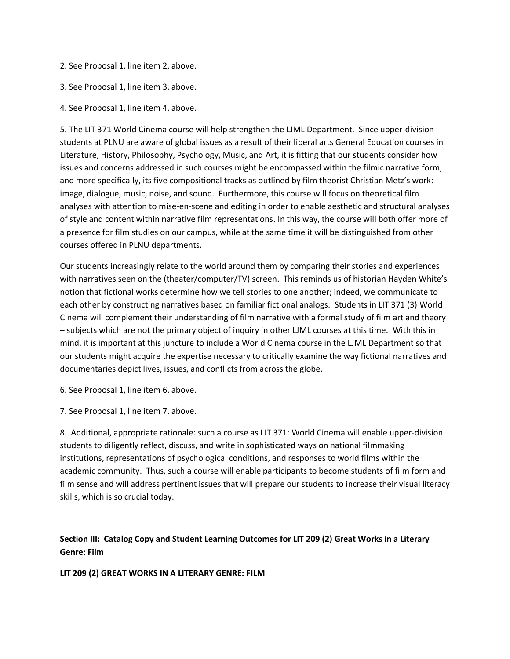- 2. See Proposal 1, line item 2, above.
- 3. See Proposal 1, line item 3, above.
- 4. See Proposal 1, line item 4, above.

5. The LIT 371 World Cinema course will help strengthen the LJML Department. Since upper-division students at PLNU are aware of global issues as a result of their liberal arts General Education courses in Literature, History, Philosophy, Psychology, Music, and Art, it is fitting that our students consider how issues and concerns addressed in such courses might be encompassed within the filmic narrative form, and more specifically, its five compositional tracks as outlined by film theorist Christian Metz's work: image, dialogue, music, noise, and sound. Furthermore, this course will focus on theoretical film analyses with attention to mise-en-scene and editing in order to enable aesthetic and structural analyses of style and content within narrative film representations. In this way, the course will both offer more of a presence for film studies on our campus, while at the same time it will be distinguished from other courses offered in PLNU departments.

Our students increasingly relate to the world around them by comparing their stories and experiences with narratives seen on the (theater/computer/TV) screen. This reminds us of historian Hayden White's notion that fictional works determine how we tell stories to one another; indeed, we communicate to each other by constructing narratives based on familiar fictional analogs. Students in LIT 371 (3) World Cinema will complement their understanding of film narrative with a formal study of film art and theory – subjects which are not the primary object of inquiry in other LJML courses at this time. With this in mind, it is important at this juncture to include a World Cinema course in the LJML Department so that our students might acquire the expertise necessary to critically examine the way fictional narratives and documentaries depict lives, issues, and conflicts from across the globe.

6. See Proposal 1, line item 6, above.

7. See Proposal 1, line item 7, above.

8. Additional, appropriate rationale: such a course as LIT 371: World Cinema will enable upper-division students to diligently reflect, discuss, and write in sophisticated ways on national filmmaking institutions, representations of psychological conditions, and responses to world films within the academic community. Thus, such a course will enable participants to become students of film form and film sense and will address pertinent issues that will prepare our students to increase their visual literacy skills, which is so crucial today.

# **Section III: Catalog Copy and Student Learning Outcomes for LIT 209 (2) Great Works in a Literary Genre: Film**

**LIT 209 (2) GREAT WORKS IN A LITERARY GENRE: FILM**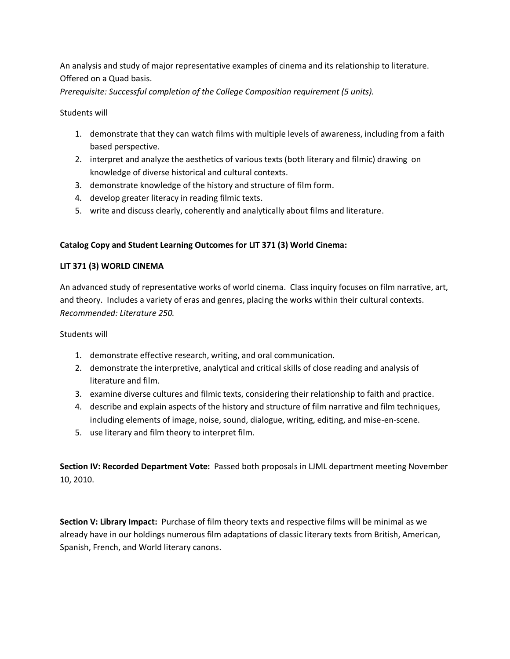An analysis and study of major representative examples of cinema and its relationship to literature. Offered on a Quad basis.

*Prerequisite: Successful completion of the College Composition requirement (5 units).*

Students will

- 1. demonstrate that they can watch films with multiple levels of awareness, including from a faith based perspective.
- 2. interpret and analyze the aesthetics of various texts (both literary and filmic) drawing on knowledge of diverse historical and cultural contexts.
- 3. demonstrate knowledge of the history and structure of film form.
- 4. develop greater literacy in reading filmic texts.
- 5. write and discuss clearly, coherently and analytically about films and literature.

# **Catalog Copy and Student Learning Outcomes for LIT 371 (3) World Cinema:**

# **LIT 371 (3) WORLD CINEMA**

An advanced study of representative works of world cinema. Class inquiry focuses on film narrative, art, and theory. Includes a variety of eras and genres, placing the works within their cultural contexts. *Recommended: Literature 250.*

Students will

- 1. demonstrate effective research, writing, and oral communication.
- 2. demonstrate the interpretive, analytical and critical skills of close reading and analysis of literature and film.
- 3. examine diverse cultures and filmic texts, considering their relationship to faith and practice.
- 4. describe and explain aspects of the history and structure of film narrative and film techniques, including elements of image, noise, sound, dialogue, writing, editing, and mise-en-scene.
- 5. use literary and film theory to interpret film.

**Section IV: Recorded Department Vote:** Passed both proposals in LJML department meeting November 10, 2010.

**Section V: Library Impact:** Purchase of film theory texts and respective films will be minimal as we already have in our holdings numerous film adaptations of classic literary texts from British, American, Spanish, French, and World literary canons.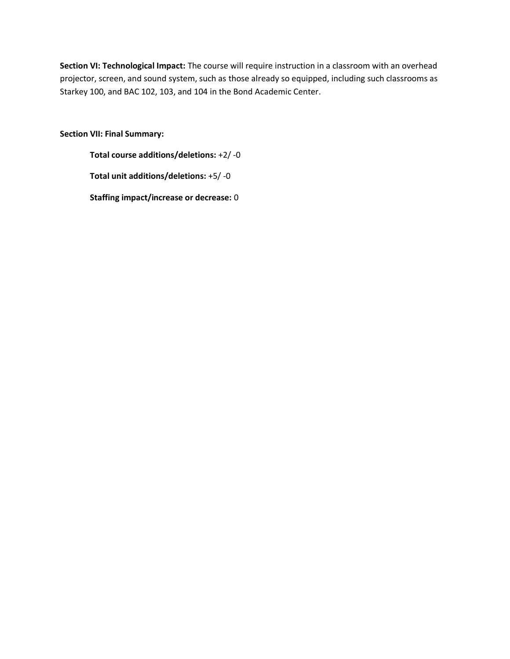**Section VI: Technological Impact:** The course will require instruction in a classroom with an overhead projector, screen, and sound system, such as those already so equipped, including such classrooms as Starkey 100, and BAC 102, 103, and 104 in the Bond Academic Center.

**Section VII: Final Summary:**

**Total course additions/deletions:** +2/ -0

**Total unit additions/deletions:** +5/ -0

**Staffing impact/increase or decrease:** 0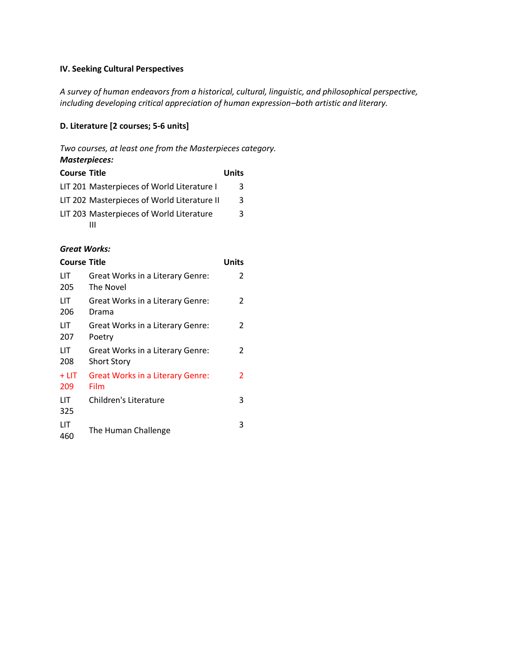## **IV. Seeking Cultural Perspectives**

*A survey of human endeavors from a historical, cultural, linguistic, and philosophical perspective, including developing critical appreciation of human expression–both artistic and literary.*

## **D. Literature [2 courses; 5-6 units]**

*Two courses, at least one from the Masterpieces category.*

## *Masterpieces:*

| <b>Course Title</b> |                                             | Units |
|---------------------|---------------------------------------------|-------|
|                     | LIT 201 Masterpieces of World Literature I  | 3     |
|                     | LIT 202 Masterpieces of World Literature II | 3.    |
|                     | LIT 203 Masterpieces of World Literature    | ર     |
|                     |                                             |       |

## *Great Works:*

| <b>Course Title</b> |                                                        | Units |
|---------------------|--------------------------------------------------------|-------|
| LIТ<br>205          | Great Works in a Literary Genre:<br>The Novel          | 2     |
| LIТ<br>206          | Great Works in a Literary Genre:<br>Drama              | 2     |
| LIТ<br>207          | Great Works in a Literary Genre:<br>Poetry             | 2     |
| LIТ<br>208          | Great Works in a Literary Genre:<br><b>Short Story</b> | 2     |
| $+$ LIT<br>209      | <b>Great Works in a Literary Genre:</b><br>Film        | 2     |
| LIТ<br>325          | Children's Literature                                  | 3     |
| LIT<br>460          | The Human Challenge                                    | 3     |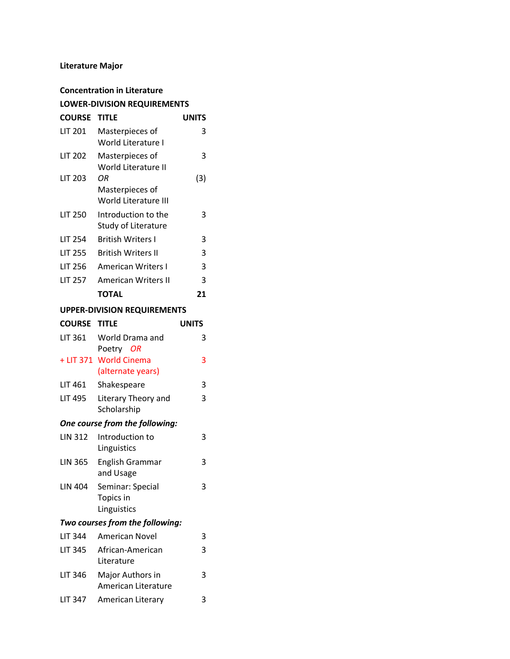# **Literature Major**

| <b>Concentration in Literature</b> |                                               |       |  |  |
|------------------------------------|-----------------------------------------------|-------|--|--|
| <b>LOWER-DIVISION REQUIREMENTS</b> |                                               |       |  |  |
| <b>COURSE</b>                      | <b>TITLE</b>                                  | UNITS |  |  |
| <b>LIT 201</b>                     | Masterpieces of<br>World Literature I         | 3     |  |  |
| <b>LIT 202</b>                     | Masterpieces of<br>World Literature II        | 3     |  |  |
| <b>LIT 203</b>                     | ΟR<br>Masterpieces of<br>World Literature III | (3)   |  |  |
| LIT 250                            | Introduction to the<br>Study of Literature    | ੨     |  |  |
| LIT 254                            | <b>British Writers I</b>                      | 3     |  |  |
| <b>LIT 255</b>                     | <b>British Writers II</b>                     | 3     |  |  |
| LIT 256                            | <b>American Writers I</b>                     | 3     |  |  |
| LIT 257                            | <b>American Writers II</b>                    | 3     |  |  |
|                                    | <b>TOTAL</b>                                  | 21    |  |  |
| LIDDED DIVICION DEOLUDENAENTS      |                                               |       |  |  |

#### **UPPER-DIVISION REQUIREMENTS**

| <b>COURSE TITLE</b>            |                                                | UNITS |  |
|--------------------------------|------------------------------------------------|-------|--|
| LIT 361                        | World Drama and<br>Poetry OR                   | 3     |  |
|                                | + LIT 371 World Cinema<br>(alternate years)    | 3     |  |
| LIT 461                        | Shakespeare                                    | 3     |  |
| LIT 495                        | Literary Theory and<br>Scholarship             | 3     |  |
| One course from the following: |                                                |       |  |
| LIN 312                        | Introduction to<br>Linguistics                 | ς     |  |
| LIN 365                        | <b>English Grammar</b><br>and Usage            | ੨     |  |
| LIN 404                        | Seminar: Special<br>Topics in                  | 3     |  |
|                                | Linguistics<br>Two courses from the following: |       |  |
|                                |                                                |       |  |
| LIT 344                        | American Novel                                 | 3     |  |
| LIT 345                        | African-American<br>Literature                 | 3     |  |
| LIT 346                        | Major Authors in<br>American Literature        | 3     |  |

LIT 347 American Literary 3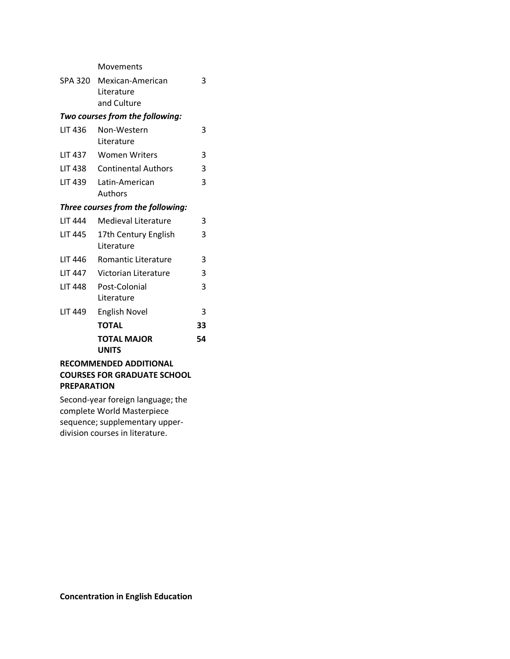Movements SPA 320 Mexican-American Literature and Culture 3 *Two courses from the following:*  LIT 436 Non-Western Literature 3 LIT 437 Women Writers 3 LIT 438 Continental Authors 3 LIT 439 Latin-American Authors 3 *Three courses from the following:*  LIT 444 Medieval Literature 3 LIT 445 17th Century English Literature 3 LIT 446 Romantic Literature 3 LIT 447 Victorian Literature 3 LIT 448 Post-Colonial Literature 3 LIT 449 English Novel 3 **TOTAL 33 TOTAL MAJOR UNITS 54 RECOMMENDED ADDITIONAL** 

# **COURSES FOR GRADUATE SCHOOL PREPARATION**

Second-year foreign language; the complete World Masterpiece sequence; supplementary upperdivision courses in literature.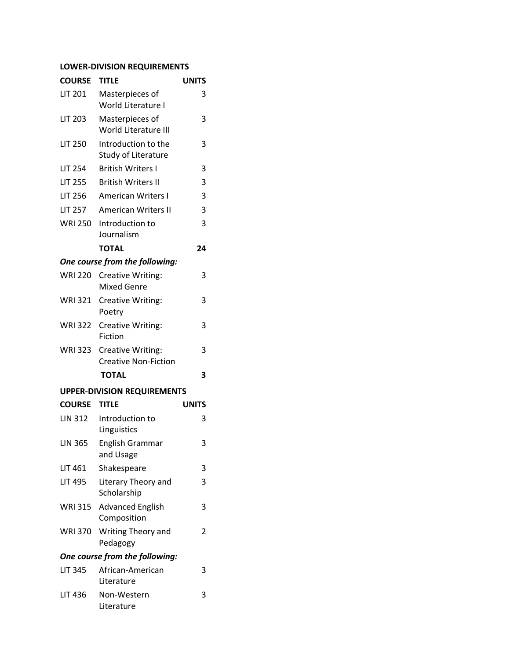# **LOWER-DIVISION REQUIREMENTS**

| <b>COURSE</b>                  | <b>TITLE</b>                                            | <b>UNITS</b> |  |
|--------------------------------|---------------------------------------------------------|--------------|--|
| <b>LIT 201</b>                 | Masterpieces of<br>World Literature I                   | 3            |  |
| <b>LIT 203</b>                 | Masterpieces of<br>World Literature III                 | 3            |  |
| <b>LIT 250</b>                 | Introduction to the<br><b>Study of Literature</b>       | 3            |  |
| <b>LIT 254</b>                 | <b>British Writers I</b>                                | 3            |  |
| <b>LIT 255</b>                 | <b>British Writers II</b>                               | 3            |  |
| <b>LIT 256</b>                 | <b>American Writers I</b>                               | 3            |  |
| <b>LIT 257</b>                 | <b>American Writers II</b>                              | 3            |  |
| <b>WRI 250</b>                 | Introduction to<br>Journalism                           | 3            |  |
|                                | <b>TOTAL</b>                                            | 24           |  |
|                                | One course from the following:                          |              |  |
| <b>WRI 220</b>                 | <b>Creative Writing:</b><br><b>Mixed Genre</b>          | 3            |  |
| <b>WRI 321</b>                 | <b>Creative Writing:</b><br>Poetry                      | 3            |  |
| <b>WRI 322</b>                 | <b>Creative Writing:</b><br>Fiction                     | 3            |  |
| <b>WRI 323</b>                 | <b>Creative Writing:</b><br><b>Creative Non-Fiction</b> | 3            |  |
|                                | <b>TOTAL</b>                                            | 3            |  |
|                                | <b>UPPER-DIVISION REQUIREMENTS</b>                      |              |  |
| <b>COURSE</b>                  | <b>TITLE</b>                                            | <b>UNITS</b> |  |
| <b>LIN 312</b>                 | Introduction to<br>Linguistics                          | 3            |  |
| <b>LIN 365</b>                 | English Grammar<br>and Usage                            | 3            |  |
| LIT 461                        | Shakespeare                                             | 3            |  |
| <b>LIT 495</b>                 | Literary Theory and<br>Scholarship                      | 3            |  |
| WRI 315                        | <b>Advanced English</b><br>Composition                  | 3            |  |
| WRI 370                        | Writing Theory and<br>Pedagogy                          | 2            |  |
| One course from the following: |                                                         |              |  |
| <b>LIT 345</b>                 | African-American<br>Literature                          | 3            |  |
| <b>LIT 436</b>                 | Non-Western<br>Literature                               | 3            |  |